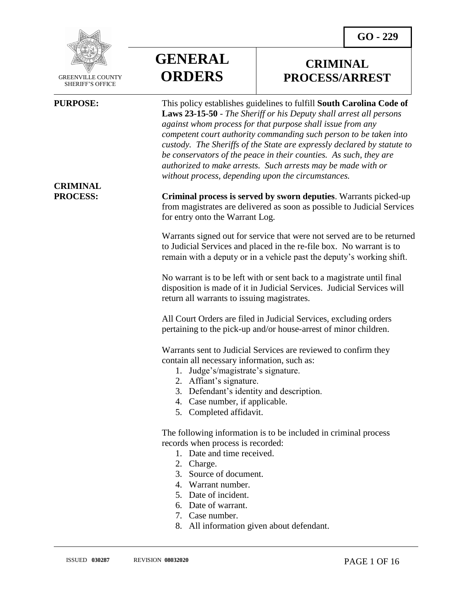

 GREENVILLE COUNTY SHERIFF'S OFFICE

 $\overline{a}$ 

**CRIMINAL** 

## **GENERAL ORDERS**

## **CRIMINAL PROCESS/ARREST**

**PURPOSE:** This policy establishes guidelines to fulfill **South Carolina Code of Laws 23-15-50** - *The Sheriff or his Deputy shall arrest all persons against whom process for that purpose shall issue from any competent court authority commanding such person to be taken into custody. The Sheriffs of the State are expressly declared by statute to be conservators of the peace in their counties. As such, they are authorized to make arrests. Such arrests may be made with or without process, depending upon the circumstances.*

**PROCESS: Criminal process is served by sworn deputies**. Warrants picked-up from magistrates are delivered as soon as possible to Judicial Services for entry onto the Warrant Log.

> Warrants signed out for service that were not served are to be returned to Judicial Services and placed in the re-file box. No warrant is to remain with a deputy or in a vehicle past the deputy's working shift.

No warrant is to be left with or sent back to a magistrate until final disposition is made of it in Judicial Services. Judicial Services will return all warrants to issuing magistrates.

All Court Orders are filed in Judicial Services, excluding orders pertaining to the pick-up and/or house-arrest of minor children.

Warrants sent to Judicial Services are reviewed to confirm they contain all necessary information, such as:

- 1. Judge's/magistrate's signature.
- 2. Affiant's signature.
- 3. Defendant's identity and description.
- 4. Case number, if applicable.
- 5. Completed affidavit.

The following information is to be included in criminal process records when process is recorded:

- 1. Date and time received.
- 2. Charge.
- 3. Source of document.
- 4. Warrant number.
- 5. Date of incident.
	- 6. Date of warrant.
- 7. Case number.
- 8. All information given about defendant.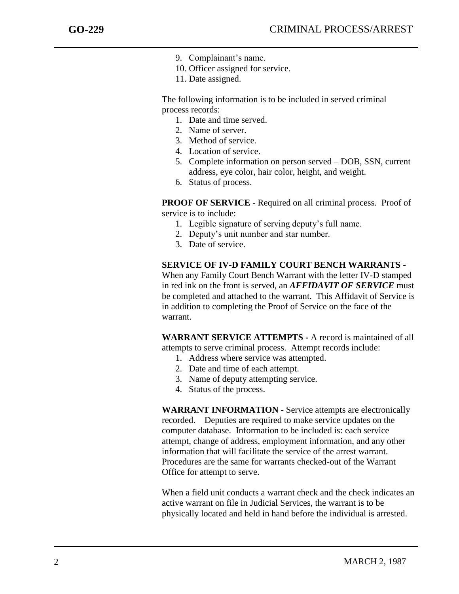- 9. Complainant's name.
- 10. Officer assigned for service.
- 11. Date assigned.

The following information is to be included in served criminal process records:

- 1. Date and time served.
- 2. Name of server.
- 3. Method of service.
- 4. Location of service.
- 5. Complete information on person served DOB, SSN, current address, eye color, hair color, height, and weight.
- 6. Status of process.

**PROOF OF SERVICE** - Required on all criminal process. Proof of service is to include:

- 1. Legible signature of serving deputy's full name.
- 2. Deputy's unit number and star number.
- 3. Date of service.

### **SERVICE OF IV-D FAMILY COURT BENCH WARRANTS** -

When any Family Court Bench Warrant with the letter IV-D stamped in red ink on the front is served, an *AFFIDAVIT OF SERVICE* must be completed and attached to the warrant. This Affidavit of Service is in addition to completing the Proof of Service on the face of the warrant.

**WARRANT SERVICE ATTEMPTS -** A record is maintained of all attempts to serve criminal process. Attempt records include:

- 1. Address where service was attempted.
- 2. Date and time of each attempt.
- 3. Name of deputy attempting service.
- 4. Status of the process.

**WARRANT INFORMATION** - Service attempts are electronically recorded. Deputies are required to make service updates on the computer database. Information to be included is: each service attempt, change of address, employment information, and any other information that will facilitate the service of the arrest warrant. Procedures are the same for warrants checked-out of the Warrant Office for attempt to serve.

When a field unit conducts a warrant check and the check indicates an active warrant on file in Judicial Services, the warrant is to be physically located and held in hand before the individual is arrested.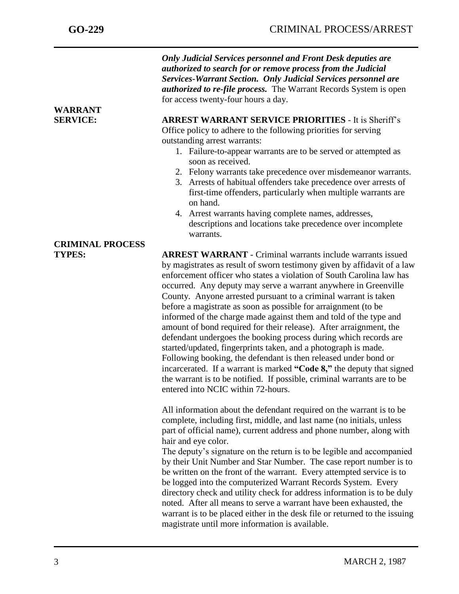*Only Judicial Services personnel and Front Desk deputies are authorized to search for or remove process from the Judicial Services-Warrant Section. Only Judicial Services personnel are authorized to re-file process.* The Warrant Records System is open for access twenty-four hours a day.

**WARRANT** 

## **CRIMINAL PROCESS**

**SERVICE: ARREST WARRANT SERVICE PRIORITIES** - It is Sheriff's

Office policy to adhere to the following priorities for serving outstanding arrest warrants:

- 1. Failure-to-appear warrants are to be served or attempted as soon as received.
- 2. Felony warrants take precedence over misdemeanor warrants.
- 3. Arrests of habitual offenders take precedence over arrests of first-time offenders, particularly when multiple warrants are on hand.
- 4. Arrest warrants having complete names, addresses, descriptions and locations take precedence over incomplete warrants.

**TYPES: ARREST WARRANT** - Criminal warrants include warrants issued by magistrates as result of sworn testimony given by affidavit of a law enforcement officer who states a violation of South Carolina law has occurred. Any deputy may serve a warrant anywhere in Greenville County. Anyone arrested pursuant to a criminal warrant is taken before a magistrate as soon as possible for arraignment (to be informed of the charge made against them and told of the type and amount of bond required for their release). After arraignment, the defendant undergoes the booking process during which records are started/updated, fingerprints taken, and a photograph is made. Following booking, the defendant is then released under bond or incarcerated. If a warrant is marked **"Code 8,"** the deputy that signed the warrant is to be notified. If possible, criminal warrants are to be entered into NCIC within 72-hours.

> All information about the defendant required on the warrant is to be complete, including first, middle, and last name (no initials, unless part of official name), current address and phone number, along with hair and eye color.

The deputy's signature on the return is to be legible and accompanied by their Unit Number and Star Number. The case report number is to be written on the front of the warrant. Every attempted service is to be logged into the computerized Warrant Records System. Every directory check and utility check for address information is to be duly noted. After all means to serve a warrant have been exhausted, the warrant is to be placed either in the desk file or returned to the issuing magistrate until more information is available.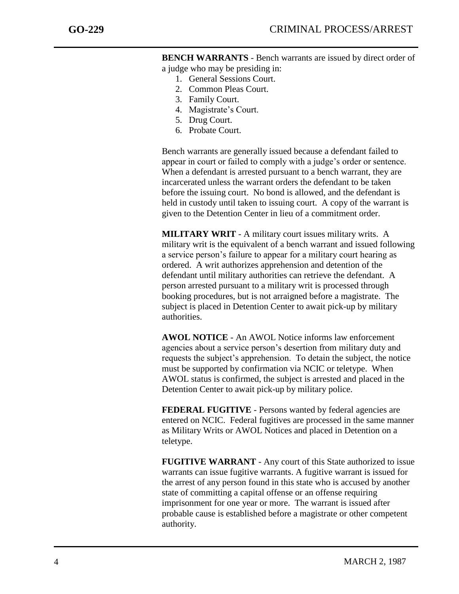**BENCH WARRANTS** - Bench warrants are issued by direct order of a judge who may be presiding in:

- 1. General Sessions Court.
- 2. Common Pleas Court.
- 3. Family Court.
- 4. Magistrate's Court.
- 5. Drug Court.
- 6. Probate Court.

Bench warrants are generally issued because a defendant failed to appear in court or failed to comply with a judge's order or sentence. When a defendant is arrested pursuant to a bench warrant, they are incarcerated unless the warrant orders the defendant to be taken before the issuing court. No bond is allowed, and the defendant is held in custody until taken to issuing court. A copy of the warrant is given to the Detention Center in lieu of a commitment order.

**MILITARY WRIT** - A military court issues military writs. A military writ is the equivalent of a bench warrant and issued following a service person's failure to appear for a military court hearing as ordered. A writ authorizes apprehension and detention of the defendant until military authorities can retrieve the defendant. A person arrested pursuant to a military writ is processed through booking procedures, but is not arraigned before a magistrate. The subject is placed in Detention Center to await pick-up by military authorities.

**AWOL NOTICE** - An AWOL Notice informs law enforcement agencies about a service person's desertion from military duty and requests the subject's apprehension. To detain the subject, the notice must be supported by confirmation via NCIC or teletype. When AWOL status is confirmed, the subject is arrested and placed in the Detention Center to await pick-up by military police.

**FEDERAL FUGITIVE** - Persons wanted by federal agencies are entered on NCIC. Federal fugitives are processed in the same manner as Military Writs or AWOL Notices and placed in Detention on a teletype.

**FUGITIVE WARRANT** - Any court of this State authorized to issue warrants can issue fugitive warrants. A fugitive warrant is issued for the arrest of any person found in this state who is accused by another state of committing a capital offense or an offense requiring imprisonment for one year or more. The warrant is issued after probable cause is established before a magistrate or other competent authority.

j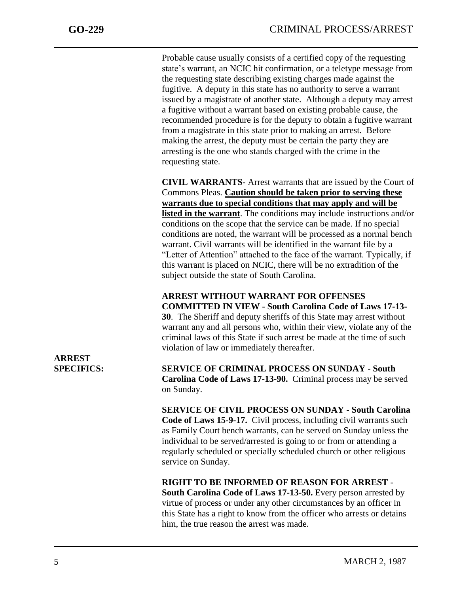Probable cause usually consists of a certified copy of the requesting state's warrant, an NCIC hit confirmation, or a teletype message from the requesting state describing existing charges made against the fugitive. A deputy in this state has no authority to serve a warrant issued by a magistrate of another state. Although a deputy may arrest a fugitive without a warrant based on existing probable cause, the recommended procedure is for the deputy to obtain a fugitive warrant from a magistrate in this state prior to making an arrest. Before making the arrest, the deputy must be certain the party they are arresting is the one who stands charged with the crime in the requesting state.

**CIVIL WARRANTS-** Arrest warrants that are issued by the Court of Commons Pleas. **Caution should be taken prior to serving these warrants due to special conditions that may apply and will be listed in the warrant**. The conditions may include instructions and/or conditions on the scope that the service can be made. If no special conditions are noted, the warrant will be processed as a normal bench warrant. Civil warrants will be identified in the warrant file by a "Letter of Attention" attached to the face of the warrant. Typically, if this warrant is placed on NCIC, there will be no extradition of the subject outside the state of South Carolina.

## **ARREST WITHOUT WARRANT FOR OFFENSES COMMITTED IN VIEW** - **South Carolina Code of Laws 17-13- 30**. The Sheriff and deputy sheriffs of this State may arrest without

warrant any and all persons who, within their view, violate any of the criminal laws of this State if such arrest be made at the time of such violation of law or immediately thereafter.

# **ARREST**

**SPECIFICS: SERVICE OF CRIMINAL PROCESS ON SUNDAY** - **South Carolina Code of Laws 17-13-90.** Criminal process may be served on Sunday.

> **SERVICE OF CIVIL PROCESS ON SUNDAY** - **South Carolina Code of Laws 15-9-17.** Civil process, including civil warrants such as Family Court bench warrants, can be served on Sunday unless the individual to be served/arrested is going to or from or attending a regularly scheduled or specially scheduled church or other religious service on Sunday.

**RIGHT TO BE INFORMED OF REASON FOR ARREST** - **South Carolina Code of Laws 17-13-50.** Every person arrested by virtue of process or under any other circumstances by an officer in this State has a right to know from the officer who arrests or detains him, the true reason the arrest was made.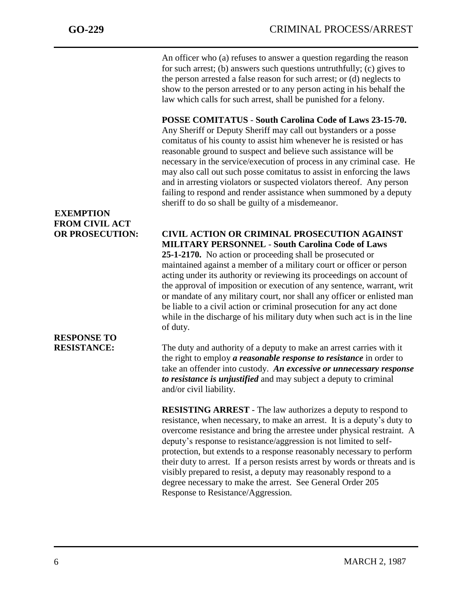An officer who (a) refuses to answer a question regarding the reason for such arrest; (b) answers such questions untruthfully; (c) gives to the person arrested a false reason for such arrest; or (d) neglects to show to the person arrested or to any person acting in his behalf the law which calls for such arrest, shall be punished for a felony.

## **POSSE COMITATUS** - **South Carolina Code of Laws 23-15-70.**

Any Sheriff or Deputy Sheriff may call out bystanders or a posse comitatus of his county to assist him whenever he is resisted or has reasonable ground to suspect and believe such assistance will be necessary in the service/execution of process in any criminal case. He may also call out such posse comitatus to assist in enforcing the laws and in arresting violators or suspected violators thereof. Any person failing to respond and render assistance when summoned by a deputy sheriff to do so shall be guilty of a misdemeanor.

## **EXEMPTION FROM CIVIL ACT**

# **RESPONSE TO**

**OR PROSECUTION: CIVIL ACTION OR CRIMINAL PROSECUTION AGAINST MILITARY PERSONNEL** - **South Carolina Code of Laws** 

**25-1-2170.** No action or proceeding shall be prosecuted or maintained against a member of a military court or officer or person acting under its authority or reviewing its proceedings on account of the approval of imposition or execution of any sentence, warrant, writ or mandate of any military court, nor shall any officer or enlisted man be liable to a civil action or criminal prosecution for any act done while in the discharge of his military duty when such act is in the line of duty.

**RESISTANCE:** The duty and authority of a deputy to make an arrest carries with it the right to employ *a reasonable response to resistance* in order to take an offender into custody. *An excessive or unnecessary response to resistance is unjustified* and may subject a deputy to criminal and/or civil liability.

> **RESISTING ARREST** - The law authorizes a deputy to respond to resistance, when necessary, to make an arrest. It is a deputy's duty to overcome resistance and bring the arrestee under physical restraint. A deputy's response to resistance/aggression is not limited to selfprotection, but extends to a response reasonably necessary to perform their duty to arrest. If a person resists arrest by words or threats and is visibly prepared to resist, a deputy may reasonably respond to a degree necessary to make the arrest. See General Order 205 Response to Resistance/Aggression.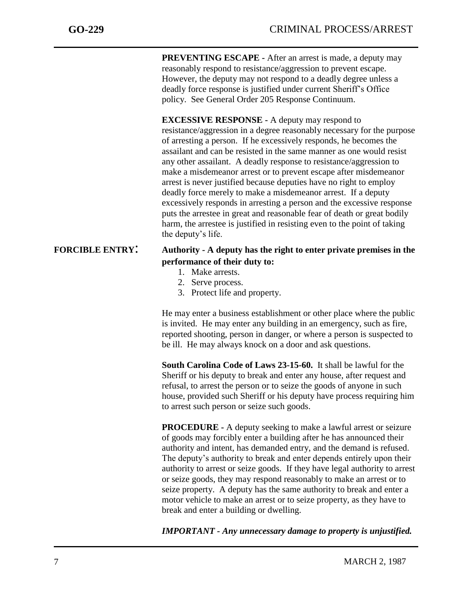**PREVENTING ESCAPE -** After an arrest is made, a deputy may reasonably respond to resistance/aggression to prevent escape. However, the deputy may not respond to a deadly degree unless a deadly force response is justified under current Sheriff's Office policy. See General Order 205 Response Continuum.

**EXCESSIVE RESPONSE -** A deputy may respond to resistance/aggression in a degree reasonably necessary for the purpose of arresting a person. If he excessively responds, he becomes the assailant and can be resisted in the same manner as one would resist any other assailant. A deadly response to resistance/aggression to make a misdemeanor arrest or to prevent escape after misdemeanor arrest is never justified because deputies have no right to employ deadly force merely to make a misdemeanor arrest. If a deputy excessively responds in arresting a person and the excessive response puts the arrestee in great and reasonable fear of death or great bodily harm, the arrestee is justified in resisting even to the point of taking the deputy's life.

## **FORCIBLE ENTRY**: **Authority - A deputy has the right to enter private premises in the performance of their duty to:**

- 1. Make arrests.
- 2. Serve process.
- 3. Protect life and property.

He may enter a business establishment or other place where the public is invited. He may enter any building in an emergency, such as fire, reported shooting, person in danger, or where a person is suspected to be ill. He may always knock on a door and ask questions.

**South Carolina Code of Laws 23-15-60.** It shall be lawful for the Sheriff or his deputy to break and enter any house, after request and refusal, to arrest the person or to seize the goods of anyone in such house, provided such Sheriff or his deputy have process requiring him to arrest such person or seize such goods.

**PROCEDURE -** A deputy seeking to make a lawful arrest or seizure of goods may forcibly enter a building after he has announced their authority and intent, has demanded entry, and the demand is refused. The deputy's authority to break and enter depends entirely upon their authority to arrest or seize goods. If they have legal authority to arrest or seize goods, they may respond reasonably to make an arrest or to seize property. A deputy has the same authority to break and enter a motor vehicle to make an arrest or to seize property, as they have to break and enter a building or dwelling.

*IMPORTANT - Any unnecessary damage to property is unjustified.*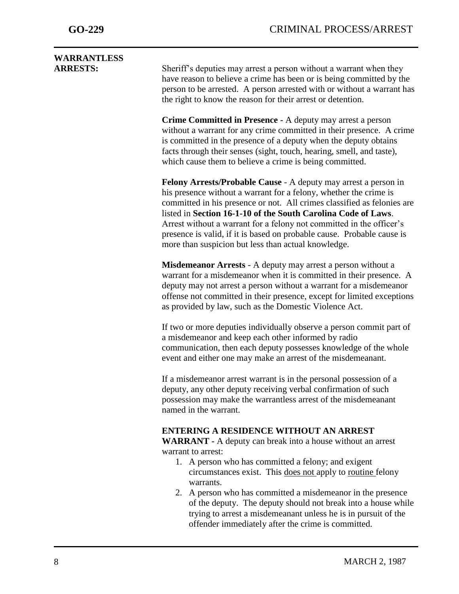| <b>WARRANTLESS</b> |                                                                                                                                                                                                                                                                                                                                                                                                                                                                                           |
|--------------------|-------------------------------------------------------------------------------------------------------------------------------------------------------------------------------------------------------------------------------------------------------------------------------------------------------------------------------------------------------------------------------------------------------------------------------------------------------------------------------------------|
| <b>ARRESTS:</b>    | Sheriff's deputies may arrest a person without a warrant when they<br>have reason to believe a crime has been or is being committed by the<br>person to be arrested. A person arrested with or without a warrant has<br>the right to know the reason for their arrest or detention.                                                                                                                                                                                                       |
|                    | Crime Committed in Presence - A deputy may arrest a person<br>without a warrant for any crime committed in their presence. A crime<br>is committed in the presence of a deputy when the deputy obtains<br>facts through their senses (sight, touch, hearing, smell, and taste),<br>which cause them to believe a crime is being committed.                                                                                                                                                |
|                    | Felony Arrests/Probable Cause - A deputy may arrest a person in<br>his presence without a warrant for a felony, whether the crime is<br>committed in his presence or not. All crimes classified as felonies are<br>listed in Section 16-1-10 of the South Carolina Code of Laws.<br>Arrest without a warrant for a felony not committed in the officer's<br>presence is valid, if it is based on probable cause. Probable cause is<br>more than suspicion but less than actual knowledge. |
|                    | Misdemeanor Arrests - A deputy may arrest a person without a<br>warrant for a misdemeanor when it is committed in their presence. A<br>deputy may not arrest a person without a warrant for a misdemeanor<br>offense not committed in their presence, except for limited exceptions<br>as provided by law, such as the Domestic Violence Act.                                                                                                                                             |
|                    | If two or more deputies individually observe a person commit part of<br>a misdemeanor and keep each other informed by radio<br>communication, then each deputy possesses knowledge of the whole<br>event and either one may make an arrest of the misdemeanant.                                                                                                                                                                                                                           |
|                    | If a misdemeanor arrest warrant is in the personal possession of a<br>deputy, any other deputy receiving verbal confirmation of such<br>possession may make the warrantless arrest of the misdemeanant<br>named in the warrant.                                                                                                                                                                                                                                                           |
|                    | <b>ENTERING A RESIDENCE WITHOUT AN ARREST</b><br><b>WARRANT</b> - A deputy can break into a house without an arrest                                                                                                                                                                                                                                                                                                                                                                       |
|                    | warrant to arrest:<br>1. A person who has committed a felony; and exigent<br>circumstances exist. This does not apply to routine felony<br>warrants.                                                                                                                                                                                                                                                                                                                                      |
|                    | 2. A person who has committed a misdemeanor in the presence<br>of the deputy. The deputy should not break into a house while<br>trying to arrest a misdemeanant unless he is in pursuit of the                                                                                                                                                                                                                                                                                            |

offender immediately after the crime is committed.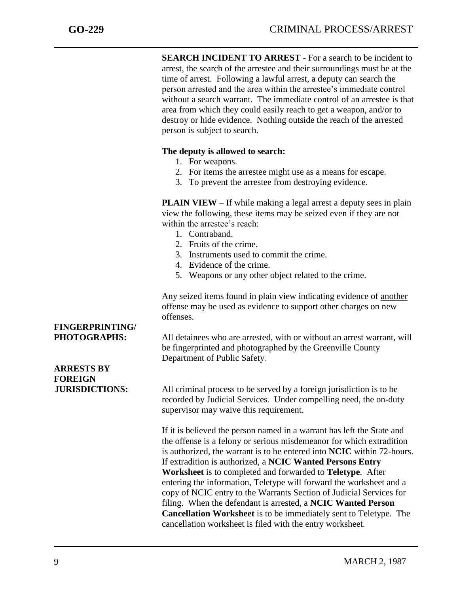**SEARCH INCIDENT TO ARREST** - For a search to be incident to arrest, the search of the arrestee and their surroundings must be at the time of arrest. Following a lawful arrest, a deputy can search the person arrested and the area within the arrestee's immediate control without a search warrant. The immediate control of an arrestee is that area from which they could easily reach to get a weapon, and/or to destroy or hide evidence. Nothing outside the reach of the arrested person is subject to search.

### **The deputy is allowed to search:**

- 1. For weapons.
- 2. For items the arrestee might use as a means for escape.
- 3. To prevent the arrestee from destroying evidence.

**PLAIN VIEW** – If while making a legal arrest a deputy sees in plain view the following, these items may be seized even if they are not within the arrestee's reach:

- 1. Contraband.
- 2. Fruits of the crime.
- 3. Instruments used to commit the crime.
- 4. Evidence of the crime.
- 5. Weapons or any other object related to the crime.

Any seized items found in plain view indicating evidence of another offense may be used as evidence to support other charges on new offenses.

## **FINGERPRINTING/**

**PHOTOGRAPHS:** All detainees who are arrested, with or without an arrest warrant, will be fingerprinted and photographed by the Greenville County Department of Public Safety.

**JURISDICTIONS:** All criminal process to be served by a foreign jurisdiction is to be recorded by Judicial Services. Under compelling need, the on-duty supervisor may waive this requirement.

> If it is believed the person named in a warrant has left the State and the offense is a felony or serious misdemeanor for which extradition is authorized, the warrant is to be entered into **NCIC** within 72-hours. If extradition is authorized, a **NCIC Wanted Persons Entry Worksheet** is to completed and forwarded to **Teletype**. After entering the information, Teletype will forward the worksheet and a copy of NCIC entry to the Warrants Section of Judicial Services for filing. When the defendant is arrested, a **NCIC Wanted Person Cancellation Worksheet** is to be immediately sent to Teletype. The cancellation worksheet is filed with the entry worksheet.

**ARRESTS BY FOREIGN**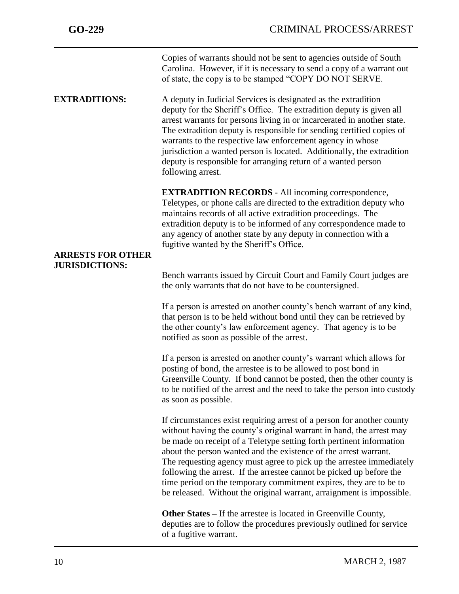|                          | Copies of warrants should not be sent to agencies outside of South<br>Carolina. However, if it is necessary to send a copy of a warrant out<br>of state, the copy is to be stamped "COPY DO NOT SERVE.                                                                                                                                                                                                                                                                                                                                                                                    |
|--------------------------|-------------------------------------------------------------------------------------------------------------------------------------------------------------------------------------------------------------------------------------------------------------------------------------------------------------------------------------------------------------------------------------------------------------------------------------------------------------------------------------------------------------------------------------------------------------------------------------------|
| <b>EXTRADITIONS:</b>     | A deputy in Judicial Services is designated as the extradition<br>deputy for the Sheriff's Office. The extradition deputy is given all<br>arrest warrants for persons living in or incarcerated in another state.<br>The extradition deputy is responsible for sending certified copies of<br>warrants to the respective law enforcement agency in whose<br>jurisdiction a wanted person is located. Additionally, the extradition<br>deputy is responsible for arranging return of a wanted person<br>following arrest.                                                                  |
| <b>ARRESTS FOR OTHER</b> | <b>EXTRADITION RECORDS</b> - All incoming correspondence,<br>Teletypes, or phone calls are directed to the extradition deputy who<br>maintains records of all active extradition proceedings. The<br>extradition deputy is to be informed of any correspondence made to<br>any agency of another state by any deputy in connection with a<br>fugitive wanted by the Sheriff's Office.                                                                                                                                                                                                     |
| <b>JURISDICTIONS:</b>    | Bench warrants issued by Circuit Court and Family Court judges are<br>the only warrants that do not have to be countersigned.                                                                                                                                                                                                                                                                                                                                                                                                                                                             |
|                          | If a person is arrested on another county's bench warrant of any kind,<br>that person is to be held without bond until they can be retrieved by<br>the other county's law enforcement agency. That agency is to be<br>notified as soon as possible of the arrest.                                                                                                                                                                                                                                                                                                                         |
|                          | If a person is arrested on another county's warrant which allows for<br>posting of bond, the arrestee is to be allowed to post bond in<br>Greenville County. If bond cannot be posted, then the other county is<br>to be notified of the arrest and the need to take the person into custody<br>as soon as possible.                                                                                                                                                                                                                                                                      |
|                          | If circumstances exist requiring arrest of a person for another county<br>without having the county's original warrant in hand, the arrest may<br>be made on receipt of a Teletype setting forth pertinent information<br>about the person wanted and the existence of the arrest warrant.<br>The requesting agency must agree to pick up the arrestee immediately<br>following the arrest. If the arrestee cannot be picked up before the<br>time period on the temporary commitment expires, they are to be to<br>be released. Without the original warrant, arraignment is impossible. |
|                          | <b>Other States – If the arrestee is located in Greenville County,</b><br>deputies are to follow the procedures previously outlined for service<br>of a fugitive warrant.                                                                                                                                                                                                                                                                                                                                                                                                                 |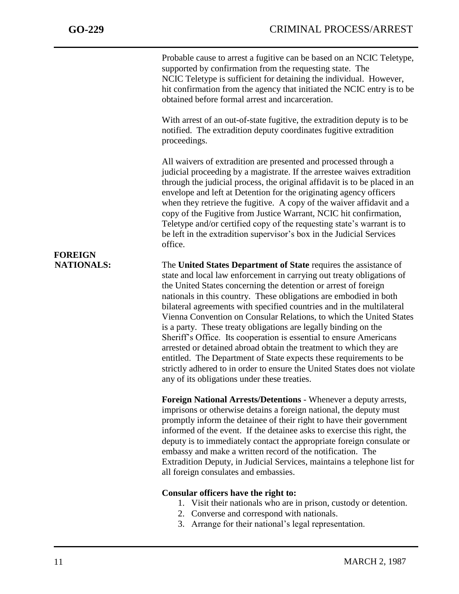Probable cause to arrest a fugitive can be based on an NCIC Teletype, supported by confirmation from the requesting state. The NCIC Teletype is sufficient for detaining the individual. However, hit confirmation from the agency that initiated the NCIC entry is to be obtained before formal arrest and incarceration.

With arrest of an out-of-state fugitive, the extradition deputy is to be notified. The extradition deputy coordinates fugitive extradition proceedings.

All waivers of extradition are presented and processed through a judicial proceeding by a magistrate. If the arrestee waives extradition through the judicial process, the original affidavit is to be placed in an envelope and left at Detention for the originating agency officers when they retrieve the fugitive. A copy of the waiver affidavit and a copy of the Fugitive from Justice Warrant, NCIC hit confirmation, Teletype and/or certified copy of the requesting state's warrant is to be left in the extradition supervisor's box in the Judicial Services office.

**NATIONALS:** The **United States Department of State** requires the assistance of state and local law enforcement in carrying out treaty obligations of the United States concerning the detention or arrest of foreign nationals in this country. These obligations are embodied in both bilateral agreements with specified countries and in the multilateral Vienna Convention on Consular Relations, to which the United States is a party. These treaty obligations are legally binding on the Sheriff's Office. Its cooperation is essential to ensure Americans arrested or detained abroad obtain the treatment to which they are entitled. The Department of State expects these requirements to be strictly adhered to in order to ensure the United States does not violate any of its obligations under these treaties.

> **Foreign National Arrests/Detentions** - Whenever a deputy arrests, imprisons or otherwise detains a foreign national, the deputy must promptly inform the detainee of their right to have their government informed of the event. If the detainee asks to exercise this right, the deputy is to immediately contact the appropriate foreign consulate or embassy and make a written record of the notification. The Extradition Deputy, in Judicial Services, maintains a telephone list for all foreign consulates and embassies.

## **Consular officers have the right to:**

- 1. Visit their nationals who are in prison, custody or detention.
- 2. Converse and correspond with nationals.
- 3. Arrange for their national's legal representation.

# **FOREIGN**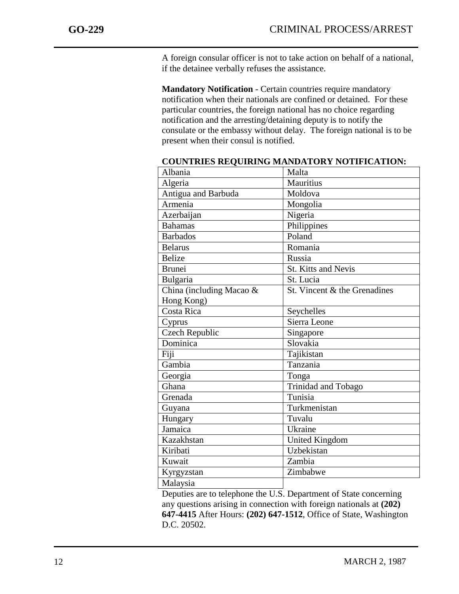A foreign consular officer is not to take action on behalf of a national, if the detainee verbally refuses the assistance.

**Mandatory Notification** - Certain countries require mandatory notification when their nationals are confined or detained. For these particular countries, the foreign national has no choice regarding notification and the arresting/detaining deputy is to notify the consulate or the embassy without delay. The foreign national is to be present when their consul is notified.

| Albania                  | Malta                        |
|--------------------------|------------------------------|
| Algeria                  | Mauritius                    |
| Antigua and Barbuda      | Moldova                      |
| Armenia                  | Mongolia                     |
| Azerbaijan               | Nigeria                      |
| <b>Bahamas</b>           | Philippines                  |
| <b>Barbados</b>          | Poland                       |
| <b>Belarus</b>           | Romania                      |
| <b>Belize</b>            | Russia                       |
| <b>Brunei</b>            | <b>St. Kitts and Nevis</b>   |
| Bulgaria                 | St. Lucia                    |
| China (including Macao & | St. Vincent & the Grenadines |
| Hong Kong)               |                              |
| Costa Rica               | Seychelles                   |
| Cyprus                   | Sierra Leone                 |
| Czech Republic           | Singapore                    |
| Dominica                 | Slovakia                     |
| Fiji                     | Tajikistan                   |
| Gambia                   | Tanzania                     |
| Georgia                  | Tonga                        |
| Ghana                    | Trinidad and Tobago          |
| Grenada                  | Tunisia                      |
| Guyana                   | Turkmenistan                 |
| Hungary                  | Tuvalu                       |
| Jamaica                  | Ukraine                      |
| Kazakhstan               | United Kingdom               |
| Kiribati                 | Uzbekistan                   |
| Kuwait                   | Zambia                       |
| Kyrgyzstan               | Zimbabwe                     |
| Malaysia                 |                              |

**COUNTRIES REQUIRING MANDATORY NOTIFICATION:**

Deputies are to telephone the U.S. Department of State concerning any questions arising in connection with foreign nationals at **(202) 647-4415** After Hours: **(202) 647-1512**, Office of State, Washington D.C. 20502.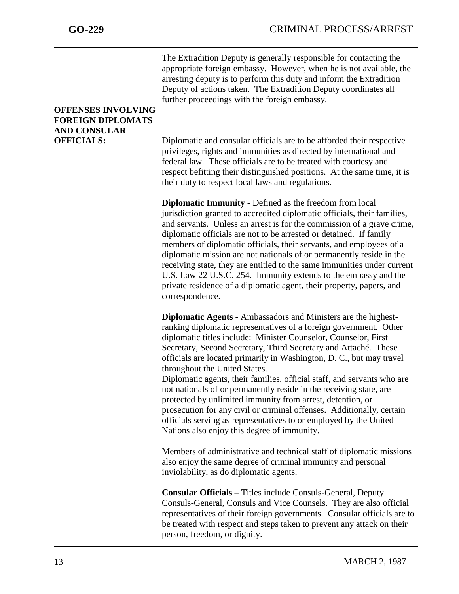The Extradition Deputy is generally responsible for contacting the appropriate foreign embassy. However, when he is not available, the arresting deputy is to perform this duty and inform the Extradition Deputy of actions taken. The Extradition Deputy coordinates all further proceedings with the foreign embassy.

## **OFFENSES INVOLVING FOREIGN DIPLOMATS AND CONSULAR**

**OFFICIALS:** Diplomatic and consular officials are to be afforded their respective privileges, rights and immunities as directed by international and federal law. These officials are to be treated with courtesy and respect befitting their distinguished positions. At the same time, it is their duty to respect local laws and regulations.

> **Diplomatic Immunity -** Defined as the freedom from local jurisdiction granted to accredited diplomatic officials, their families, and servants. Unless an arrest is for the commission of a grave crime, diplomatic officials are not to be arrested or detained. If family members of diplomatic officials, their servants, and employees of a diplomatic mission are not nationals of or permanently reside in the receiving state, they are entitled to the same immunities under current U.S. Law 22 U.S.C. 254. Immunity extends to the embassy and the private residence of a diplomatic agent, their property, papers, and correspondence.

**Diplomatic Agents -** Ambassadors and Ministers are the highestranking diplomatic representatives of a foreign government. Other diplomatic titles include: Minister Counselor, Counselor, First Secretary, Second Secretary, Third Secretary and Attaché. These officials are located primarily in Washington, D. C., but may travel throughout the United States.

Diplomatic agents, their families, official staff, and servants who are not nationals of or permanently reside in the receiving state, are protected by unlimited immunity from arrest, detention, or prosecution for any civil or criminal offenses. Additionally, certain officials serving as representatives to or employed by the United Nations also enjoy this degree of immunity.

Members of administrative and technical staff of diplomatic missions also enjoy the same degree of criminal immunity and personal inviolability, as do diplomatic agents.

**Consular Officials –** Titles include Consuls-General, Deputy Consuls-General, Consuls and Vice Counsels. They are also official representatives of their foreign governments. Consular officials are to be treated with respect and steps taken to prevent any attack on their person, freedom, or dignity.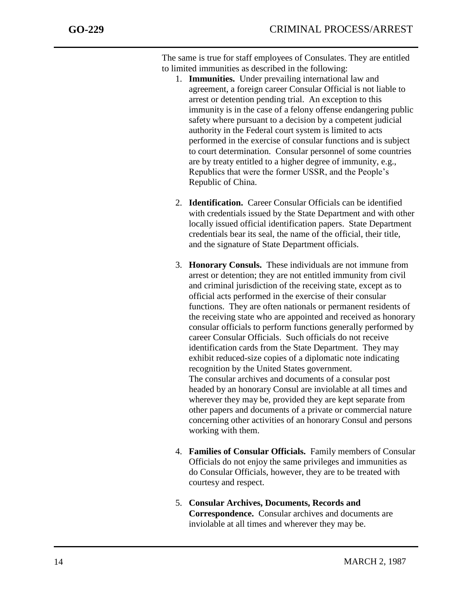The same is true for staff employees of Consulates. They are entitled to limited immunities as described in the following:

- 1. **Immunities.** Under prevailing international law and agreement, a foreign career Consular Official is not liable to arrest or detention pending trial. An exception to this immunity is in the case of a felony offense endangering public safety where pursuant to a decision by a competent judicial authority in the Federal court system is limited to acts performed in the exercise of consular functions and is subject to court determination. Consular personnel of some countries are by treaty entitled to a higher degree of immunity, e.g., Republics that were the former USSR, and the People's Republic of China.
- 2. **Identification.** Career Consular Officials can be identified with credentials issued by the State Department and with other locally issued official identification papers. State Department credentials bear its seal, the name of the official, their title, and the signature of State Department officials.
- 3. **Honorary Consuls.** These individuals are not immune from arrest or detention; they are not entitled immunity from civil and criminal jurisdiction of the receiving state, except as to official acts performed in the exercise of their consular functions. They are often nationals or permanent residents of the receiving state who are appointed and received as honorary consular officials to perform functions generally performed by career Consular Officials. Such officials do not receive identification cards from the State Department. They may exhibit reduced-size copies of a diplomatic note indicating recognition by the United States government. The consular archives and documents of a consular post headed by an honorary Consul are inviolable at all times and wherever they may be, provided they are kept separate from other papers and documents of a private or commercial nature concerning other activities of an honorary Consul and persons working with them.
- 4. **Families of Consular Officials.** Family members of Consular Officials do not enjoy the same privileges and immunities as do Consular Officials, however, they are to be treated with courtesy and respect.
- 5. **Consular Archives, Documents, Records and Correspondence.** Consular archives and documents are inviolable at all times and wherever they may be.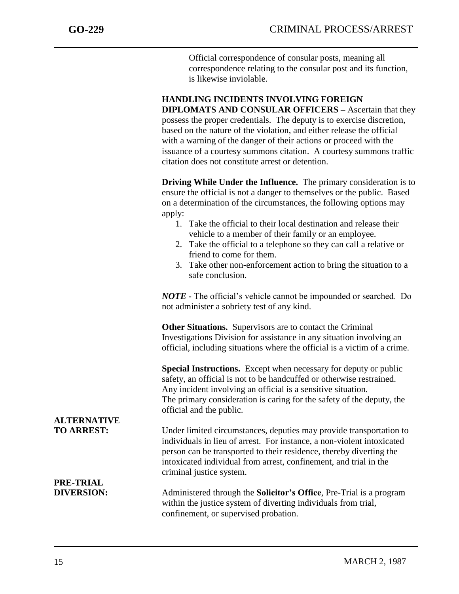Official correspondence of consular posts, meaning all correspondence relating to the consular post and its function, is likewise inviolable.

## **HANDLING INCIDENTS INVOLVING FOREIGN DIPLOMATS AND CONSULAR OFFICERS –** Ascertain that they

possess the proper credentials. The deputy is to exercise discretion, based on the nature of the violation, and either release the official with a warning of the danger of their actions or proceed with the issuance of a courtesy summons citation. A courtesy summons traffic citation does not constitute arrest or detention.

**Driving While Under the Influence.** The primary consideration is to ensure the official is not a danger to themselves or the public. Based on a determination of the circumstances, the following options may apply:

- 1. Take the official to their local destination and release their vehicle to a member of their family or an employee.
- 2. Take the official to a telephone so they can call a relative or friend to come for them.
- 3. Take other non-enforcement action to bring the situation to a safe conclusion.

*NOTE -* The official's vehicle cannot be impounded or searched. Do not administer a sobriety test of any kind.

**Other Situations.** Supervisors are to contact the Criminal Investigations Division for assistance in any situation involving an official, including situations where the official is a victim of a crime.

**Special Instructions.** Except when necessary for deputy or public safety, an official is not to be handcuffed or otherwise restrained. Any incident involving an official is a sensitive situation. The primary consideration is caring for the safety of the deputy, the official and the public.

**TO ARREST:** Under limited circumstances, deputies may provide transportation to individuals in lieu of arrest. For instance, a non-violent intoxicated person can be transported to their residence, thereby diverting the intoxicated individual from arrest, confinement, and trial in the criminal justice system.

## **DIVERSION:** Administered through the **Solicitor's Office**, Pre-Trial is a program within the justice system of diverting individuals from trial, confinement, or supervised probation.

## MARCH 2, 1987

**ALTERNATIVE** 

**PRE-TRIAL**